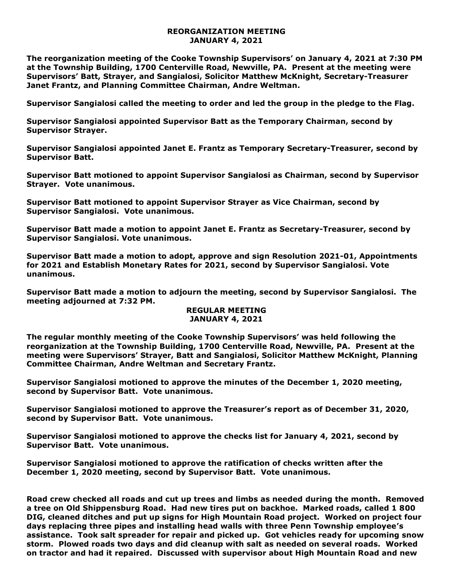## **REORGANIZATION MEETING JANUARY 4, 2021**

**The reorganization meeting of the Cooke Township Supervisors' on January 4, 2021 at 7:30 PM at the Township Building, 1700 Centerville Road, Newville, PA. Present at the meeting were Supervisors' Batt, Strayer, and Sangialosi, Solicitor Matthew McKnight, Secretary-Treasurer Janet Frantz, and Planning Committee Chairman, Andre Weltman.** 

**Supervisor Sangialosi called the meeting to order and led the group in the pledge to the Flag.** 

**Supervisor Sangialosi appointed Supervisor Batt as the Temporary Chairman, second by Supervisor Strayer.**

**Supervisor Sangialosi appointed Janet E. Frantz as Temporary Secretary-Treasurer, second by Supervisor Batt.** 

**Supervisor Batt motioned to appoint Supervisor Sangialosi as Chairman, second by Supervisor Strayer. Vote unanimous.**

**Supervisor Batt motioned to appoint Supervisor Strayer as Vice Chairman, second by Supervisor Sangialosi. Vote unanimous.**

**Supervisor Batt made a motion to appoint Janet E. Frantz as Secretary-Treasurer, second by Supervisor Sangialosi. Vote unanimous.**

**Supervisor Batt made a motion to adopt, approve and sign Resolution 2021-01, Appointments for 2021 and Establish Monetary Rates for 2021, second by Supervisor Sangialosi. Vote unanimous.**

**Supervisor Batt made a motion to adjourn the meeting, second by Supervisor Sangialosi. The meeting adjourned at 7:32 PM.** 

## **REGULAR MEETING JANUARY 4, 2021**

**The regular monthly meeting of the Cooke Township Supervisors' was held following the reorganization at the Township Building, 1700 Centerville Road, Newville, PA. Present at the meeting were Supervisors' Strayer, Batt and Sangialosi, Solicitor Matthew McKnight, Planning Committee Chairman, Andre Weltman and Secretary Frantz.**

**Supervisor Sangialosi motioned to approve the minutes of the December 1, 2020 meeting, second by Supervisor Batt. Vote unanimous.** 

**Supervisor Sangialosi motioned to approve the Treasurer's report as of December 31, 2020, second by Supervisor Batt. Vote unanimous.**

**Supervisor Sangialosi motioned to approve the checks list for January 4, 2021, second by Supervisor Batt. Vote unanimous.**

**Supervisor Sangialosi motioned to approve the ratification of checks written after the December 1, 2020 meeting, second by Supervisor Batt. Vote unanimous.**

**Road crew checked all roads and cut up trees and limbs as needed during the month. Removed a tree on Old Shippensburg Road. Had new tires put on backhoe. Marked roads, called 1 800 DIG, cleaned ditches and put up signs for High Mountain Road project. Worked on project four days replacing three pipes and installing head walls with three Penn Township employee's assistance. Took salt spreader for repair and picked up. Got vehicles ready for upcoming snow storm. Plowed roads two days and did cleanup with salt as needed on several roads. Worked on tractor and had it repaired. Discussed with supervisor about High Mountain Road and new**